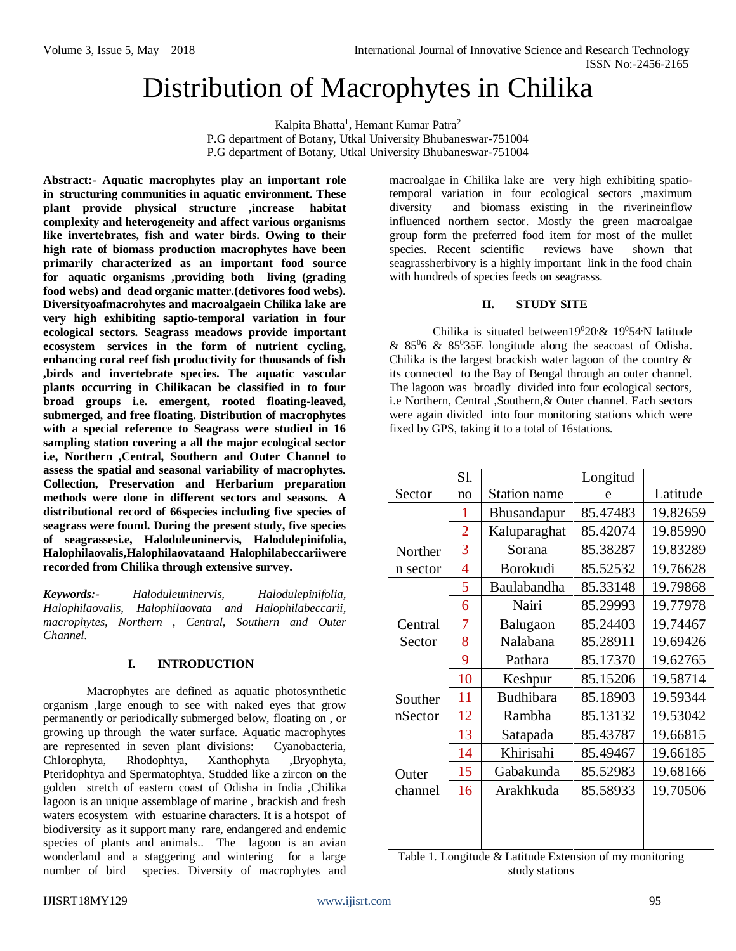# Distribution of Macrophytes in Chilika

Kalpita Bhatta<sup>1</sup>, Hemant Kumar Patra<sup>2</sup> P.G department of Botany, Utkal University Bhubaneswar-751004 P.G department of Botany, Utkal University Bhubaneswar-751004

**Abstract:- Aquatic macrophytes play an important role in structuring communities in aquatic environment. These plant provide physical structure ,increase habitat complexity and heterogeneity and affect various organisms like invertebrates, fish and water birds. Owing to their high rate of biomass production macrophytes have been primarily characterized as an important food source for aquatic organisms ,providing both living (grading food webs) and dead organic matter.(detivores food webs). Diversityoafmacrohytes and macroalgaein Chilika lake are very high exhibiting saptio-temporal variation in four ecological sectors. Seagrass meadows provide important ecosystem services in the form of nutrient cycling, enhancing coral reef fish productivity for thousands of fish ,birds and invertebrate species. The aquatic vascular plants occurring in Chilikacan be classified in to four broad groups i.e. emergent, rooted floating-leaved, submerged, and free floating. Distribution of macrophytes with a special reference to Seagrass were studied in 16 sampling station covering a all the major ecological sector i.e, Northern ,Central, Southern and Outer Channel to assess the spatial and seasonal variability of macrophytes. Collection, Preservation and Herbarium preparation methods were done in different sectors and seasons. A distributional record of 66species including five species of seagrass were found. During the present study, five species of seagrassesi.e, Haloduleuninervis, Halodulepinifolia, Halophilaovalis,Halophilaovataand Halophilabeccariiwere recorded from Chilika through extensive survey.**

*Keywords:- Haloduleuninervis, Halodulepinifolia, Halophilaovalis, Halophilaovata and Halophilabeccarii, macrophytes, Northern , Central, Southern and Outer Channel.*

#### **I. INTRODUCTION**

Macrophytes are defined as aquatic photosynthetic organism ,large enough to see with naked eyes that grow permanently or periodically submerged below, floating on , or growing up through the water surface. Aquatic macrophytes are represented in seven plant divisions: Cyanobacteria, Chlorophyta, Rhodophtya, Xanthophyta ,Bryophyta, Pteridophtya and Spermatophtya. Studded like a zircon on the golden stretch of eastern coast of Odisha in India ,Chilika lagoon is an unique assemblage of marine , brackish and fresh waters ecosystem with estuarine characters. It is a hotspot of biodiversity as it support many rare, endangered and endemic species of plants and animals.. The lagoon is an avian wonderland and a staggering and wintering for a large number of bird species. Diversity of macrophytes and macroalgae in Chilika lake are very high exhibiting spatiotemporal variation in four ecological sectors ,maximum diversity and biomass existing in the riverineinflow influenced northern sector. Mostly the green macroalgae group form the preferred food item for most of the mullet species. Recent scientific reviews have shown that seagrassherbivory is a highly important link in the food chain with hundreds of species feeds on seagrasss.

## **II. STUDY SITE**

Chilika is situated between19020 & 19054 N latitude &  $85\%$  &  $85\%$ 35E longitude along the seacoast of Odisha. Chilika is the largest brackish water lagoon of the country  $\&$ its connected to the Bay of Bengal through an outer channel. The lagoon was broadly divided into four ecological sectors, i.e Northern, Central ,Southern,& Outer channel. Each sectors were again divided into four monitoring stations which were fixed by GPS, taking it to a total of 16stations.

|          | S1. |                    | Longitud |          |  |  |  |  |
|----------|-----|--------------------|----------|----------|--|--|--|--|
| Sector   | no  | Station name       | e        | Latitude |  |  |  |  |
|          | 1   | <b>Bhusandapur</b> | 85.47483 | 19.82659 |  |  |  |  |
|          | 2   | Kaluparaghat       | 85.42074 | 19.85990 |  |  |  |  |
| Norther  | 3   | Sorana             | 85.38287 | 19.83289 |  |  |  |  |
| n sector | 4   | Borokudi           | 85.52532 | 19.76628 |  |  |  |  |
|          | 5   | Baulabandha        | 85.33148 | 19.79868 |  |  |  |  |
|          | 6   | Nairi              | 85.29993 | 19.77978 |  |  |  |  |
| Central  | 7   | Balugaon           | 85.24403 | 19.74467 |  |  |  |  |
| Sector   | 8   | Nalabana           | 85.28911 | 19.69426 |  |  |  |  |
|          | 9   | Pathara            | 85.17370 | 19.62765 |  |  |  |  |
|          | 10  | Keshpur            | 85.15206 | 19.58714 |  |  |  |  |
| Souther  | 11  | Budhibara          | 85.18903 | 19.59344 |  |  |  |  |
| nSector  | 12  | Rambha             | 85.13132 | 19.53042 |  |  |  |  |
|          | 13  | Satapada           | 85.43787 | 19.66815 |  |  |  |  |
|          | 14  | Khirisahi          | 85.49467 | 19.66185 |  |  |  |  |
| Outer    | 15  | Gabakunda          | 85.52983 | 19.68166 |  |  |  |  |
| channel  | 16  | Arakhkuda          | 85.58933 | 19.70506 |  |  |  |  |
|          |     |                    |          |          |  |  |  |  |
|          |     |                    |          |          |  |  |  |  |
|          |     |                    |          |          |  |  |  |  |

| Table 1. Longitude & Latitude Extension of my monitoring |
|----------------------------------------------------------|
| study stations                                           |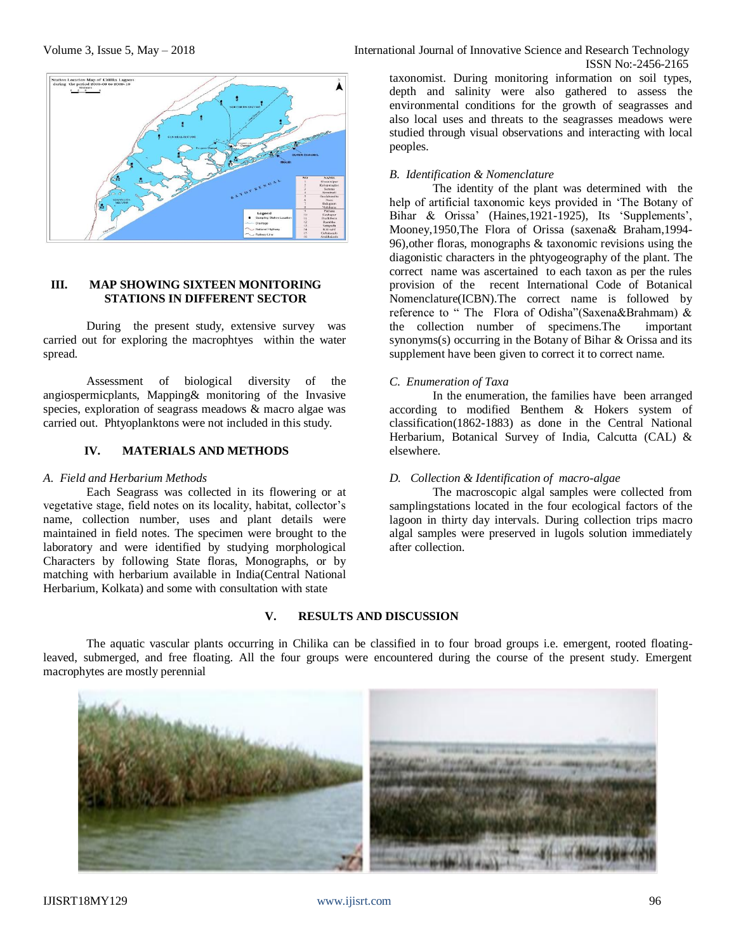

### **III. MAP SHOWING SIXTEEN MONITORING STATIONS IN DIFFERENT SECTOR**

During the present study, extensive survey was carried out for exploring the macrophtyes within the water spread.

Assessment of biological diversity of the angiospermicplants, Mapping& monitoring of the Invasive species, exploration of seagrass meadows & macro algae was carried out. Phtyoplanktons were not included in this study.

#### **IV. MATERIALS AND METHODS**

#### *A. Field and Herbarium Methods*

Each Seagrass was collected in its flowering or at vegetative stage, field notes on its locality, habitat, collector's name, collection number, uses and plant details were maintained in field notes. The specimen were brought to the laboratory and were identified by studying morphological Characters by following State floras, Monographs, or by matching with herbarium available in India(Central National Herbarium, Kolkata) and some with consultation with state

taxonomist. During monitoring information on soil types, depth and salinity were also gathered to assess the environmental conditions for the growth of seagrasses and also local uses and threats to the seagrasses meadows were studied through visual observations and interacting with local peoples.

## *B. Identification & Nomenclature*

The identity of the plant was determined with the help of artificial taxonomic keys provided in 'The Botany of Bihar & Orissa' (Haines,1921-1925), Its 'Supplements', Mooney,1950,The Flora of Orissa (saxena& Braham,1994- 96),other floras, monographs & taxonomic revisions using the diagonistic characters in the phtyogeography of the plant. The correct name was ascertained to each taxon as per the rules provision of the recent International Code of Botanical Nomenclature(ICBN).The correct name is followed by reference to " The Flora of Odisha"(Saxena&Brahmam) & the collection number of specimens.The important synonyms(s) occurring in the Botany of Bihar & Orissa and its supplement have been given to correct it to correct name.

#### *C. Enumeration of Taxa*

In the enumeration, the families have been arranged according to modified Benthem & Hokers system of classification(1862-1883) as done in the Central National Herbarium, Botanical Survey of India, Calcutta (CAL) & elsewhere.

#### *D. Collection & Identification of macro-algae*

The macroscopic algal samples were collected from samplingstations located in the four ecological factors of the lagoon in thirty day intervals. During collection trips macro algal samples were preserved in lugols solution immediately after collection.

## **V. RESULTS AND DISCUSSION**

The aquatic vascular plants occurring in Chilika can be classified in to four broad groups i.e. emergent, rooted floatingleaved, submerged, and free floating. All the four groups were encountered during the course of the present study. Emergent macrophytes are mostly perennial

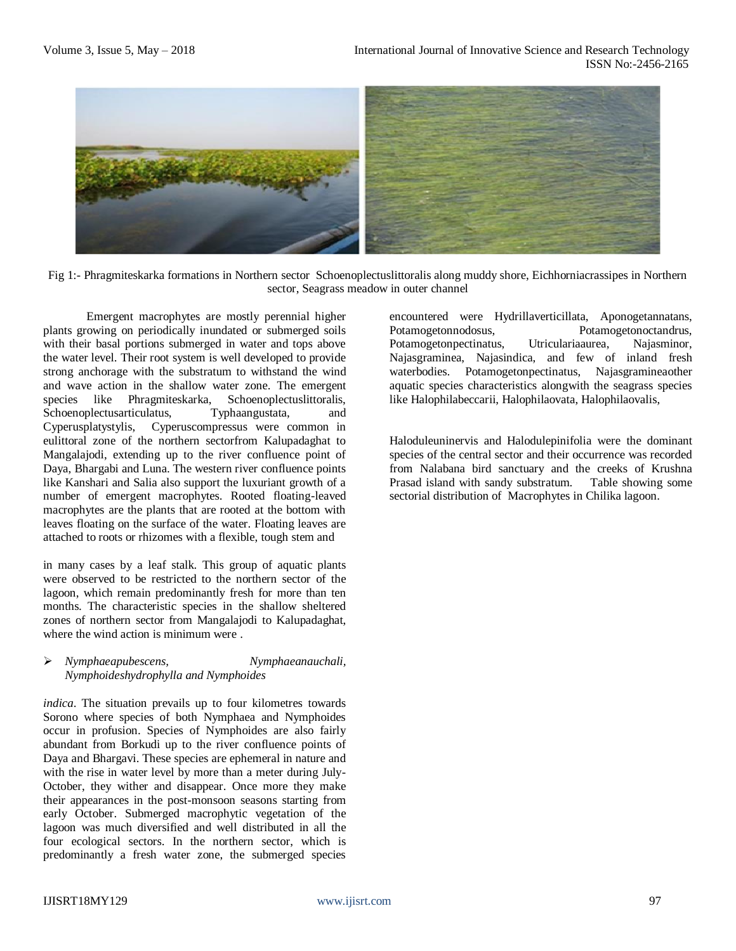

Fig 1:- Phragmiteskarka formations in Northern sector Schoenoplectuslittoralis along muddy shore, Eichhorniacrassipes in Northern sector, Seagrass meadow in outer channel

Emergent macrophytes are mostly perennial higher plants growing on periodically inundated or submerged soils with their basal portions submerged in water and tops above the water level. Their root system is well developed to provide strong anchorage with the substratum to withstand the wind and wave action in the shallow water zone. The emergent species like Phragmiteskarka, Schoenoplectuslittoralis, Schoenoplectusarticulatus, Typhaangustata, and Cyperusplatystylis, Cyperuscompressus were common in eulittoral zone of the northern sectorfrom Kalupadaghat to Mangalajodi, extending up to the river confluence point of Daya, Bhargabi and Luna. The western river confluence points like Kanshari and Salia also support the luxuriant growth of a number of emergent macrophytes. Rooted floating-leaved macrophytes are the plants that are rooted at the bottom with leaves floating on the surface of the water. Floating leaves are attached to roots or rhizomes with a flexible, tough stem and

in many cases by a leaf stalk. This group of aquatic plants were observed to be restricted to the northern sector of the lagoon, which remain predominantly fresh for more than ten months. The characteristic species in the shallow sheltered zones of northern sector from Mangalajodi to Kalupadaghat, where the wind action is minimum were .

#### *Nymphaeapubescens, Nymphaeanauchali, Nymphoideshydrophylla and Nymphoides*

*indica*. The situation prevails up to four kilometres towards Sorono where species of both Nymphaea and Nymphoides occur in profusion. Species of Nymphoides are also fairly abundant from Borkudi up to the river confluence points of Daya and Bhargavi. These species are ephemeral in nature and with the rise in water level by more than a meter during July-October, they wither and disappear. Once more they make their appearances in the post-monsoon seasons starting from early October. Submerged macrophytic vegetation of the lagoon was much diversified and well distributed in all the four ecological sectors. In the northern sector, which is predominantly a fresh water zone, the submerged species

encountered were Hydrillaverticillata, Aponogetannatans, Potamogetonnodosus, Potamogetonoctandrus, Potamogetonpectinatus, Utriculariaaurea, Najasminor, Najasgraminea, Najasindica, and few of inland fresh waterbodies. Potamogetonpectinatus, Najasgramineaother aquatic species characteristics alongwith the seagrass species like Halophilabeccarii, Halophilaovata, Halophilaovalis,

Haloduleuninervis and Halodulepinifolia were the dominant species of the central sector and their occurrence was recorded from Nalabana bird sanctuary and the creeks of Krushna Prasad island with sandy substratum. Table showing some sectorial distribution of Macrophytes in Chilika lagoon.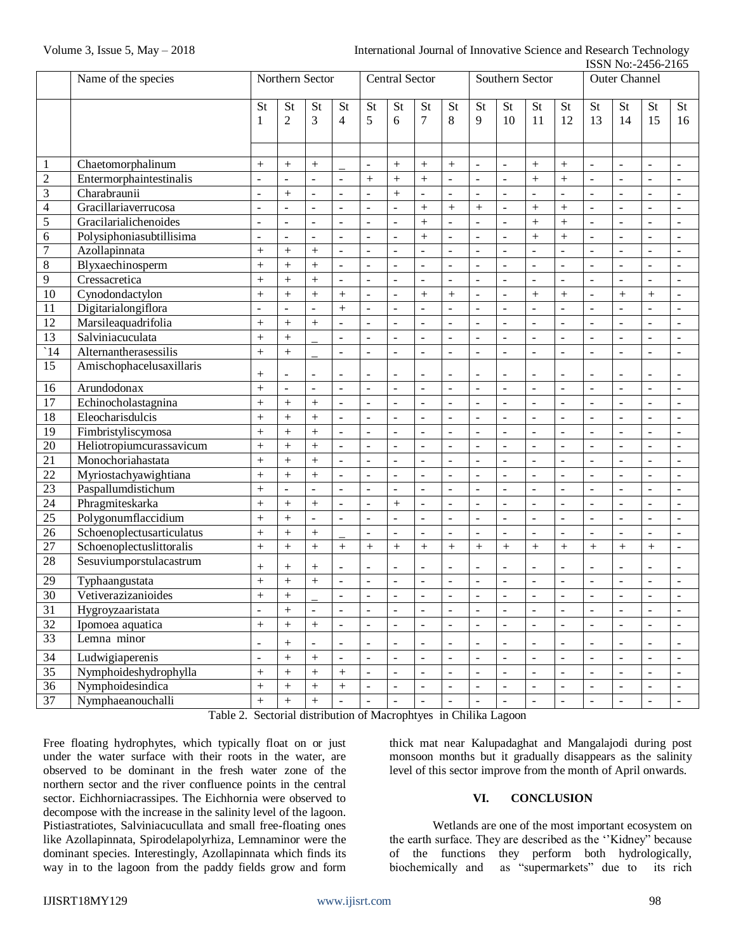|                         |                           |                          |                          |                          |                          |                          |                          |                              |                              |                          |                          |                          |                          |                          |                              | <b>19917 170.-2490-2109</b> |                          |
|-------------------------|---------------------------|--------------------------|--------------------------|--------------------------|--------------------------|--------------------------|--------------------------|------------------------------|------------------------------|--------------------------|--------------------------|--------------------------|--------------------------|--------------------------|------------------------------|-----------------------------|--------------------------|
|                         | Name of the species       | Northern Sector          |                          |                          | <b>Central Sector</b>    |                          |                          | Southern Sector              |                              |                          |                          | <b>Outer Channel</b>     |                          |                          |                              |                             |                          |
|                         |                           | St                       | St                       | St                       | <b>St</b>                | St                       | <b>St</b>                | St                           | <b>St</b>                    | <b>St</b>                | St                       | St                       | <b>St</b>                | St                       | St                           | <b>St</b>                   | <b>St</b>                |
|                         |                           | 1                        | $\overline{2}$           | 3                        | 4                        | 5                        | 6                        | 7                            | 8                            | 9                        | 10                       | 11                       | 12                       | 13                       | 14                           | 15                          | 16                       |
|                         |                           |                          |                          |                          |                          |                          |                          |                              |                              |                          |                          |                          |                          |                          |                              |                             |                          |
|                         |                           |                          |                          |                          |                          |                          |                          |                              |                              |                          |                          |                          |                          |                          |                              |                             |                          |
| $\mathbf{1}$            | Chaetomorphalinum         |                          | $^{+}$                   | $+$                      |                          |                          | $^{+}$                   | $\boldsymbol{+}$             |                              |                          | $\overline{a}$           | $^{+}$                   | $+$                      | $\Box$                   | $\blacksquare$               | $\overline{a}$              | $\overline{\phantom{a}}$ |
| $\boldsymbol{2}$        | Entermorphaintestinalis   | $\Box$                   | $\overline{a}$           | $\overline{a}$           | $\Box$                   | $^{+}$                   | $\ddot{}$                | $^{+}$                       | $\overline{a}$               | $\overline{\phantom{a}}$ | $\overline{a}$           | $\ddot{}$                | $\ddot{}$                | $\frac{1}{2}$            | $\overline{a}$               | $\overline{a}$              | $\frac{1}{2}$            |
| 3                       | Charabraunii              | $\Box$                   | $\ddot{}$                | $\frac{1}{2}$            | $\overline{a}$           |                          | $\ddot{}$                |                              | $\overline{a}$               | $\frac{1}{2}$            | $\overline{a}$           | $\frac{1}{2}$            |                          | $\frac{1}{2}$            | $\overline{a}$               | $\frac{1}{2}$               | $\frac{1}{2}$            |
| $\overline{\mathbf{4}}$ | Gracillariaverrucosa      | $\Box$                   | $\overline{a}$           | $\frac{1}{2}$            | $\overline{a}$           | $\overline{a}$           | $\overline{a}$           | $^{+}$                       | $\ddot{}$                    | $\ddot{}$                | $\overline{a}$           | $\ddot{}$                | $\ddot{}$                | $\frac{1}{2}$            | $\overline{a}$               | $\frac{1}{2}$               | $\frac{1}{2}$            |
| $\overline{5}$          | Gracilarialichenoides     | $\overline{a}$           | $\frac{1}{2}$            | $\overline{a}$           | $\overline{a}$           | $\overline{a}$           | $\overline{a}$           | $^{+}$                       | $\overline{a}$               | $\overline{a}$           | $\overline{a}$           | $\ddot{}$                | $\ddot{}$                | $\frac{1}{2}$            | $\overline{a}$               | $\frac{1}{2}$               | $\frac{1}{2}$            |
| 6                       | Polysiphoniasubtillisima  | $\overline{a}$           | $\overline{a}$           | $\frac{1}{2}$            | $\overline{a}$           | $\overline{a}$           | $\overline{a}$           | $^{+}$                       | $\frac{1}{2}$                | $\mathbb{Z}^2$           | $\overline{a}$           | $\ddot{}$                | $\ddot{}$                | $\overline{a}$           | $\Box$                       | $\overline{a}$              | $\frac{1}{2}$            |
| $\overline{7}$          | Azollapinnata             | $^{+}$                   | $\ddot{}$                | $\ddot{}$                | $\overline{a}$           | $\overline{a}$           | $\overline{a}$           | $\overline{a}$               | $\overline{a}$               | $\mathbb{Z}^2$           | $\overline{a}$           | $\overline{a}$           | $\overline{a}$           | $\overline{a}$           | $\blacksquare$               | $\overline{a}$              | $\overline{a}$           |
| $\overline{8}$          | Blyxaechinosperm          | $\ddot{}$                | $\ddot{}$                | $\ddot{}$                | $\overline{a}$           | $\overline{a}$           | $\overline{a}$           | $\overline{a}$               | $\frac{1}{2}$                | $\mathbb{Z}^2$           | $\overline{a}$           | $\overline{a}$           | $\overline{a}$           | $\overline{a}$           | $\blacksquare$               | $\overline{a}$              | $\bar{\phantom{a}}$      |
| 9                       | Cressacretica             | $\ddot{}$                | $\ddot{}$                | $\ddot{}$                | $\overline{a}$           | $\overline{a}$           | $\overline{a}$           | $\overline{a}$               | $\overline{a}$               | $\mathbb{Z}^2$           | $\bar{\phantom{a}}$      | $\Box$                   | $\overline{a}$           | $\overline{a}$           | $\Box$                       | $\overline{a}$              | $\bar{\phantom{a}}$      |
| 10                      | Cynodondactylon           | $\ddot{}$                | $\ddot{}$                | $\ddot{}$                | $\ddot{}$                | $\overline{a}$           | $\overline{a}$           | $^{+}$                       | $^{+}$                       | $\mathbb{Z}^2$           | $\overline{a}$           | $\ddot{}$                | $\ddot{+}$               | $\frac{1}{2}$            | $^{+}$                       | $\ddot{}$                   | $\overline{\phantom{a}}$ |
| 11                      | Digitarialongiflora       | $\Box$                   | $\frac{1}{2}$            |                          | $\ddot{}$                | $\overline{a}$           | $\overline{a}$           |                              | $\overline{a}$               | $\overline{a}$           | $\overline{a}$           | $\overline{a}$           |                          | $\frac{1}{2}$            | $\overline{a}$               |                             | $\frac{1}{2}$            |
| 12                      | Marsileaquadrifolia       | $\ddot{}$                | $\ddot{}$                | $\ddot{}$                | $\overline{a}$           | $\overline{a}$           | $\frac{1}{2}$            | $\frac{1}{2}$                | $\frac{1}{2}$                | $\overline{\phantom{a}}$ | $\overline{a}$           | $\frac{1}{2}$            | $\overline{a}$           | $\frac{1}{2}$            | $\frac{1}{2}$                |                             | $\frac{1}{2}$            |
| 13                      | Salviniacuculata          | $\ddot{}$                | $\ddot{}$                |                          | $\overline{a}$           | $\overline{a}$           | $\frac{1}{2}$            | $\overline{a}$               | $\overline{a}$               | $\frac{1}{2}$            | $\overline{a}$           | $\overline{a}$           | $\overline{a}$           | $\frac{1}{2}$            | $\frac{1}{2}$                | $\overline{a}$              | $\frac{1}{2}$            |
| $\lceil 14 \rceil$      | Alternantherasessilis     | $\ddot{}$                | $\ddot{}$                |                          | $\overline{a}$           | $\overline{a}$           | $\overline{a}$           | $\overline{a}$               | $\overline{a}$               | $\overline{a}$           | $\overline{a}$           | $\overline{a}$           |                          | $\frac{1}{2}$            | $\overline{a}$               | $\overline{a}$              | $\frac{1}{2}$            |
| 15                      | Amischophacelusaxillaris  |                          |                          |                          |                          |                          |                          |                              |                              |                          |                          |                          |                          |                          |                              |                             |                          |
|                         |                           | $^{+}$                   | $\overline{\phantom{a}}$ | $\overline{\phantom{a}}$ | $\overline{\phantom{a}}$ | $\overline{\phantom{a}}$ | $\overline{a}$           | $\overline{\phantom{0}}$     | $\overline{\phantom{a}}$     | $\overline{\phantom{a}}$ | $\overline{\phantom{a}}$ | $\overline{\phantom{0}}$ | $\overline{\phantom{a}}$ | $\overline{\phantom{a}}$ | $\overline{\phantom{a}}$     | $\overline{\phantom{a}}$    | $\overline{\phantom{a}}$ |
| 16                      | Arundodonax               | $+$                      | $\frac{1}{2}$            | $\equiv$                 | $\overline{\phantom{a}}$ | ÷,                       | $\overline{a}$           | $\overline{\phantom{a}}$     | $\overline{\phantom{a}}$     | $\blacksquare$           | $\overline{\phantom{a}}$ | $\equiv$                 | $\equiv$                 | $\blacksquare$           | $\blacksquare$               | $\blacksquare$              | $\blacksquare$           |
| $\overline{17}$         | Echinocholastagnina       | $+$                      | $^{+}$                   | $+$                      | $\omega$                 | ÷,                       | $\blacksquare$           | $\blacksquare$               | $\overline{\phantom{a}}$     | $\blacksquare$           | $\overline{a}$           | $\equiv$                 | $\overline{a}$           | $\blacksquare$           | $\blacksquare$               | $\blacksquare$              | $\blacksquare$           |
| 18                      | Eleocharisdulcis          | $+$                      | $^{+}$                   | $+$                      | $\equiv$                 | ÷,                       | ÷,                       | $\bar{\phantom{a}}$          | $\overline{\phantom{a}}$     | $\blacksquare$           | $\overline{a}$           | $\overline{\phantom{a}}$ | $\overline{a}$           | $\blacksquare$           | $\omega$                     | $\blacksquare$              | $\blacksquare$           |
| $\overline{19}$         | Fimbristyliscymosa        | $+$                      | $^{+}$                   | $+$                      | $\omega$                 | ÷,                       | ÷,                       | $\blacksquare$               | $\overline{\phantom{a}}$     | $\blacksquare$           | $\overline{a}$           | $\overline{\phantom{a}}$ | $\overline{a}$           | $\blacksquare$           | $\blacksquare$               | $\blacksquare$              | $\blacksquare$           |
| 20                      | Heliotropiumcurassavicum  | $+$                      | $^{+}$                   | $+$                      | $\omega$                 | ÷,                       | ÷,                       | $\blacksquare$               | $\overline{\phantom{a}}$     | $\blacksquare$           | $\overline{a}$           | $\equiv$                 | $\overline{a}$           | $\blacksquare$           | $\blacksquare$               | $\blacksquare$              | $\blacksquare$           |
| 21                      | Monochoriahastata         | $^{+}$                   | $^{+}$                   | $+$                      | $\omega$                 | ÷,                       | ÷,                       | $\blacksquare$               | $\overline{\phantom{a}}$     | $\blacksquare$           | $\overline{\phantom{a}}$ | $\equiv$                 | $\overline{\phantom{a}}$ | $\blacksquare$           | $\blacksquare$               | $\blacksquare$              | $\blacksquare$           |
| 22                      | Myriostachyawightiana     | $^{+}$                   | $^{+}$                   | $^{+}$                   | $\omega$                 | ÷,                       | $\overline{\phantom{a}}$ | $\overline{\phantom{a}}$     | $\overline{\phantom{a}}$     | $\blacksquare$           | $\overline{\phantom{0}}$ | ÷,                       | $\overline{\phantom{a}}$ | ÷,                       | $\blacksquare$               | $\overline{\phantom{a}}$    | $\blacksquare$           |
| 23                      | Paspallumdistichum        | $^{+}$                   | $\frac{1}{2}$            | $\equiv$                 | $\omega$                 | ÷,                       | $\overline{\phantom{a}}$ | $\blacksquare$               | $\overline{\phantom{a}}$     | $\blacksquare$           | $\overline{\phantom{a}}$ | ÷,                       | $\overline{\phantom{a}}$ | ÷,                       | $\overline{\phantom{a}}$     | $\overline{\phantom{a}}$    | $\overline{\phantom{a}}$ |
| 24                      | Phragmiteskarka           | $^{+}$                   | $^{+}$                   | $^{+}$                   | $\Box$                   | ÷,                       | $^{+}$                   | $\blacksquare$               | $\overline{\phantom{a}}$     | $\blacksquare$           | $\overline{\phantom{a}}$ | $\equiv$                 | $\overline{\phantom{a}}$ | ÷,                       | $\blacksquare$               | $\overline{\phantom{a}}$    | $\blacksquare$           |
| 25                      | Polygonumflaccidium       | $^{+}$                   | $\ddot{}$                | $\frac{1}{2}$            | $\frac{1}{2}$            | ÷,                       | ÷,                       | $\blacksquare$               | $\overline{\phantom{a}}$     | $\blacksquare$           | $\overline{\phantom{a}}$ | $\equiv$                 | ä,                       | $\blacksquare$           | $\blacksquare$               | $\blacksquare$              | $\blacksquare$           |
| 26                      | Schoenoplectusarticulatus | $+$                      | $^{+}$                   | $+$                      |                          | ÷,                       | ÷,                       | $\equiv$                     | $\overline{\phantom{a}}$     | $\omega$                 | $\overline{a}$           | $\equiv$                 | ä,                       | $\blacksquare$           | $\blacksquare$               | $\blacksquare$              | $\blacksquare$           |
| 27                      | Schoenoplectuslittoralis  | $+$                      | $^{+}$                   | $+$                      | $^{+}$                   | $+$                      | $+$                      | $^{+}$                       | $^{+}$                       | $^{+}$                   | $^{+}$                   | $^{+}$                   | $+$                      | $+$                      | $^{+}$                       | $+$                         | $\bar{\phantom{a}}$      |
| 28                      | Sesuviumporstulacastrum   | $+$                      | $^{+}$                   | $+$                      | $\mathbf{r}$             | $\overline{a}$           | $\sim$                   | $\overline{a}$               | $\overline{a}$               | $\blacksquare$           | $\overline{a}$           | L.                       | $\overline{a}$           | $\overline{a}$           | $\blacksquare$               |                             | $\sim$                   |
| 29                      | Typhaangustata            | $+$                      | $\ddot{}$                | $+$                      | $\omega$                 | $\overline{a}$           | $\overline{\phantom{a}}$ | $\overline{a}$               | $\overline{a}$               | $\blacksquare$           | $\overline{a}$           | $\Box$                   | L.                       | $\overline{\phantom{a}}$ | $\blacksquare$               | $\sim$                      | $\sim$                   |
| 30                      | Vetiverazizanioides       | $^{+}$                   | $^{+}$                   |                          | $\sim$                   |                          | $\overline{a}$           | $\overline{a}$               | $\overline{a}$               | $\blacksquare$           | L.                       | $\overline{a}$           | L.                       | $\blacksquare$           | $\blacksquare$               | $\overline{a}$              | $\ddot{\phantom{1}}$     |
| 31                      | Hygroyzaaristata          | $\overline{\phantom{a}}$ | $^{+}$                   | ÷,                       | $\mathbf{r}$             | $\overline{a}$           | $\overline{a}$           | $\overline{\phantom{a}}$     | $\overline{a}$               | $\overline{\phantom{a}}$ | $\overline{\phantom{a}}$ | $\overline{\phantom{a}}$ | L.                       | $\blacksquare$           | ä,                           | $\overline{a}$              | $\blacksquare$           |
| 32                      | Ipomoea aquatica          | $+$                      | $^{+}$                   | $+$                      | $\overline{\phantom{a}}$ | $\overline{a}$           | $\overline{\phantom{a}}$ | $\sim$                       | $\overline{a}$               | $\sim$                   | $\overline{\phantom{a}}$ | $\Box$                   | $\sim$                   | L.                       | $\overline{\phantom{a}}$     | $\sim$                      | $\overline{\phantom{a}}$ |
| 33                      | Lemna minor               | $\blacksquare$           |                          | $\blacksquare$           | $\Box$                   | $\blacksquare$           | $\blacksquare$           | $\qquad \qquad \blacksquare$ | $\overline{a}$               | $\overline{\phantom{a}}$ | $\blacksquare$           | ÷,                       | $\overline{a}$           | $\blacksquare$           | $\qquad \qquad \blacksquare$ | $\overline{\phantom{a}}$    | $\overline{\phantom{a}}$ |
| $\overline{34}$         | Ludwigiaperenis           | $\blacksquare$           | $\! +$                   | $\boldsymbol{+}$         | $\blacksquare$           | $\blacksquare$           | $\blacksquare$           | $\overline{\phantom{a}}$     | $\qquad \qquad \blacksquare$ | $\blacksquare$           | $\blacksquare$           | $\blacksquare$           | $\blacksquare$           | $\blacksquare$           | $\blacksquare$               | $\blacksquare$              | $\overline{\phantom{a}}$ |
| 35                      | Nymphoideshydrophylla     | $\qquad \qquad +$        | $\! +$                   | $\qquad \qquad +$        | $\ddot{}$                | $\blacksquare$           | $\blacksquare$           | $\blacksquare$               | $\blacksquare$               | $\blacksquare$           | $\blacksquare$           | $\blacksquare$           | $\blacksquare$           | $\blacksquare$           | $\overline{\phantom{a}}$     | $\blacksquare$              | $\overline{\phantom{a}}$ |
| 36                      | Nymphoidesindica          | $\boldsymbol{+}$         | $\! +$                   | $\boldsymbol{+}$         | $\! + \!$                | $\blacksquare$           | $\blacksquare$           | $\blacksquare$               | $\blacksquare$               | $\blacksquare$           | $\blacksquare$           | $\blacksquare$           | $\blacksquare$           | $\Box$                   | $\blacksquare$               | $\overline{\phantom{a}}$    | $\overline{\phantom{a}}$ |
| 37                      | Nymphaeanouchalli         | $\qquad \qquad +$        | $\qquad \qquad +$        | $\qquad \qquad +$        | $\Box$                   | $\blacksquare$           | $\blacksquare$           | $\Box$                       | $\Box$                       | $\blacksquare$           | $\blacksquare$           | $\blacksquare$           | $\blacksquare$           | $\Box$                   | $\blacksquare$               | $\bar{\phantom{a}}$         | $\blacksquare$           |

Table 2. Sectorial distribution of Macrophtyes in Chilika Lagoon

Free floating hydrophytes, which typically float on or just under the water surface with their roots in the water, are observed to be dominant in the fresh water zone of the northern sector and the river confluence points in the central sector. Eichhorniacrassipes. The Eichhornia were observed to decompose with the increase in the salinity level of the lagoon. Pistiastratiotes, Salviniacucullata and small free-floating ones like Azollapinnata, Spirodelapolyrhiza, Lemnaminor were the dominant species. Interestingly, Azollapinnata which finds its way in to the lagoon from the paddy fields grow and form thick mat near Kalupadaghat and Mangalajodi during post monsoon months but it gradually disappears as the salinity level of this sector improve from the month of April onwards.

## **VI. CONCLUSION**

Wetlands are one of the most important ecosystem on the earth surface. They are described as the ''Kidney" because of the functions they perform both hydrologically, biochemically and as "supermarkets" due to its rich